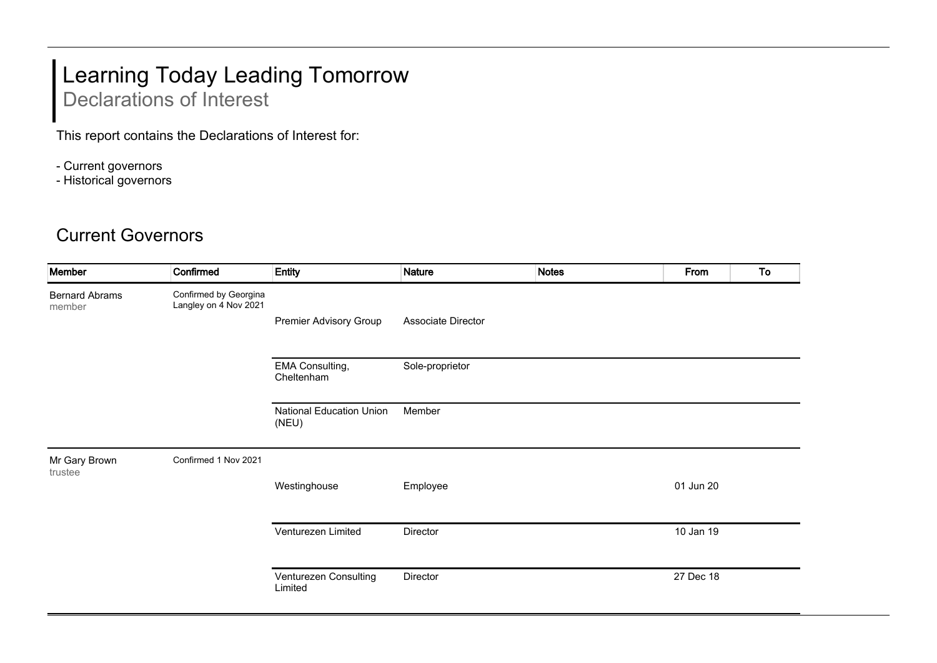## Learning Today Leading Tomorrow Declarations of Interest

This report contains the Declarations of Interest for:

- Current governors
- Historical governors

## Current Governors

| Member                          | Confirmed                                      | Entity                                   | <b>Nature</b>      | <b>Notes</b> | From      | To |
|---------------------------------|------------------------------------------------|------------------------------------------|--------------------|--------------|-----------|----|
| <b>Bernard Abrams</b><br>member | Confirmed by Georgina<br>Langley on 4 Nov 2021 |                                          |                    |              |           |    |
|                                 |                                                | <b>Premier Advisory Group</b>            | Associate Director |              |           |    |
|                                 |                                                | EMA Consulting,<br>Cheltenham            | Sole-proprietor    |              |           |    |
|                                 |                                                | <b>National Education Union</b><br>(NEU) | Member             |              |           |    |
| Mr Gary Brown<br>trustee        | Confirmed 1 Nov 2021                           |                                          |                    |              |           |    |
|                                 |                                                | Westinghouse                             | Employee           |              | 01 Jun 20 |    |
|                                 |                                                | Venturezen Limited                       | Director           |              | 10 Jan 19 |    |
|                                 |                                                | Venturezen Consulting<br>Limited         | Director           |              | 27 Dec 18 |    |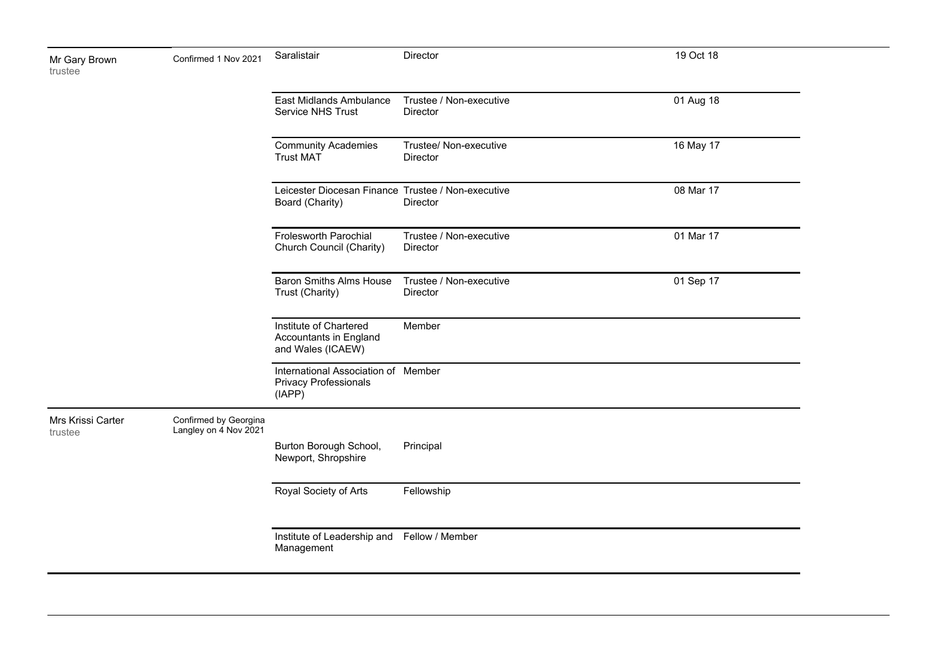| Mr Gary Brown<br>trustee     | Confirmed 1 Nov 2021                           | Saralistair                                                                   | Director                                   | 19 Oct 18 |  |
|------------------------------|------------------------------------------------|-------------------------------------------------------------------------------|--------------------------------------------|-----------|--|
|                              |                                                | East Midlands Ambulance<br>Service NHS Trust                                  | Trustee / Non-executive<br><b>Director</b> | 01 Aug 18 |  |
|                              |                                                | <b>Community Academies</b><br><b>Trust MAT</b>                                | Trustee/ Non-executive<br>Director         | 16 May 17 |  |
|                              |                                                | Leicester Diocesan Finance Trustee / Non-executive<br>Board (Charity)         | Director                                   | 08 Mar 17 |  |
|                              |                                                | Frolesworth Parochial<br>Church Council (Charity)                             | Trustee / Non-executive<br>Director        | 01 Mar 17 |  |
|                              |                                                | <b>Baron Smiths Alms House</b><br>Trust (Charity)                             | Trustee / Non-executive<br><b>Director</b> | 01 Sep 17 |  |
|                              |                                                | Institute of Chartered<br>Accountants in England<br>and Wales (ICAEW)         | Member                                     |           |  |
|                              |                                                | International Association of Member<br><b>Privacy Professionals</b><br>(IAPP) |                                            |           |  |
| Mrs Krissi Carter<br>trustee | Confirmed by Georgina<br>Langley on 4 Nov 2021 |                                                                               |                                            |           |  |
|                              |                                                | Burton Borough School,<br>Newport, Shropshire                                 | Principal                                  |           |  |
|                              |                                                | Royal Society of Arts                                                         | Fellowship                                 |           |  |
|                              |                                                | Institute of Leadership and Fellow / Member<br>Management                     |                                            |           |  |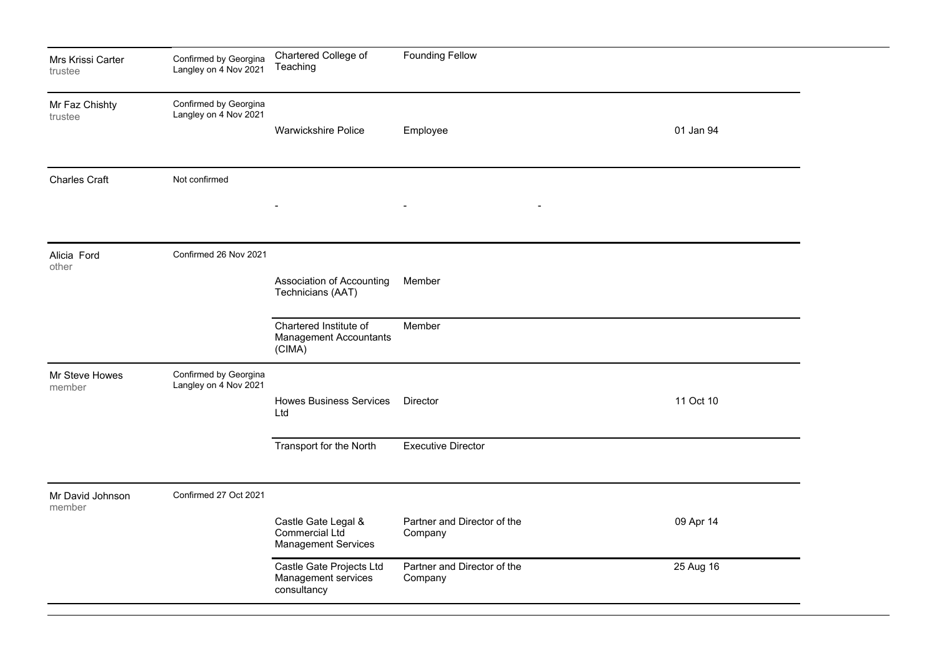| Mrs Krissi Carter<br>trustee | Confirmed by Georgina<br>Langley on 4 Nov 2021 | Chartered College of<br>Teaching                                    | <b>Founding Fellow</b>                 |           |  |
|------------------------------|------------------------------------------------|---------------------------------------------------------------------|----------------------------------------|-----------|--|
| Mr Faz Chishty<br>trustee    | Confirmed by Georgina<br>Langley on 4 Nov 2021 | Warwickshire Police                                                 | Employee                               | 01 Jan 94 |  |
| <b>Charles Craft</b>         | Not confirmed                                  |                                                                     | $\blacksquare$                         |           |  |
| Alicia Ford<br>other         | Confirmed 26 Nov 2021                          | Association of Accounting<br>Technicians (AAT)                      | Member                                 |           |  |
|                              |                                                | Chartered Institute of<br><b>Management Accountants</b><br>(CIMA)   | Member                                 |           |  |
| Mr Steve Howes<br>member     | Confirmed by Georgina<br>Langley on 4 Nov 2021 | <b>Howes Business Services</b><br>Ltd                               | Director                               | 11 Oct 10 |  |
|                              |                                                | Transport for the North                                             | <b>Executive Director</b>              |           |  |
| Mr David Johnson<br>member   | Confirmed 27 Oct 2021                          |                                                                     |                                        |           |  |
|                              |                                                | Castle Gate Legal &<br>Commercial Ltd<br><b>Management Services</b> | Partner and Director of the<br>Company | 09 Apr 14 |  |
|                              |                                                | Castle Gate Projects Ltd<br>Management services<br>consultancy      | Partner and Director of the<br>Company | 25 Aug 16 |  |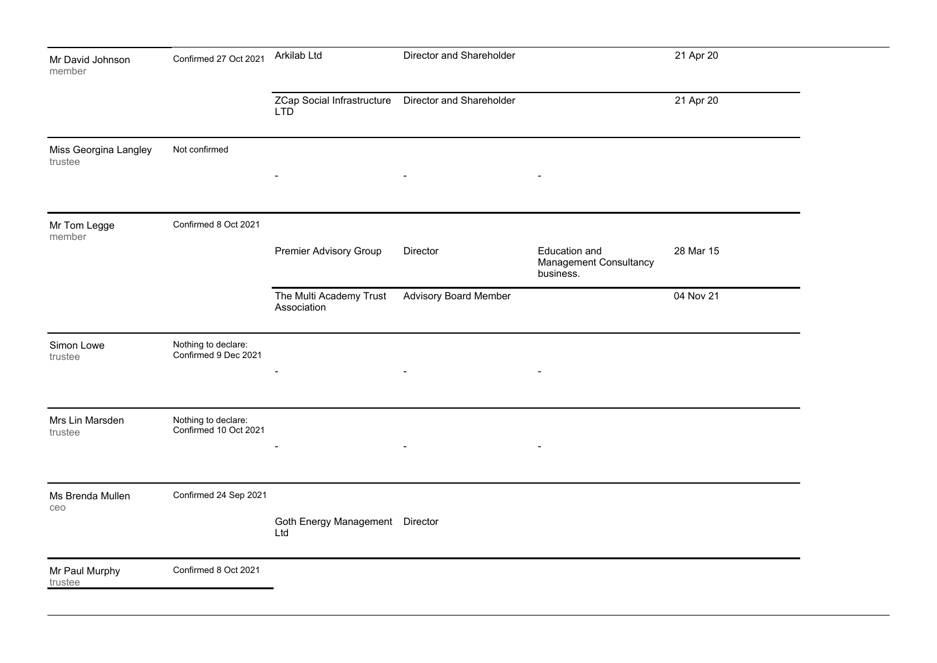| Mr David Johnson<br>member       | Confirmed 27 Oct 2021                        | Arkilab Ltd                                                        | Director and Shareholder     |                                                      | 21 Apr 20 |  |
|----------------------------------|----------------------------------------------|--------------------------------------------------------------------|------------------------------|------------------------------------------------------|-----------|--|
|                                  |                                              | ZCap Social Infrastructure  Director and Shareholder<br><b>LTD</b> |                              |                                                      | 21 Apr 20 |  |
| Miss Georgina Langley<br>trustee | Not confirmed                                | $\overline{a}$                                                     | $\blacksquare$               | $\blacksquare$                                       |           |  |
| Mr Tom Legge<br>member           | Confirmed 8 Oct 2021                         | <b>Premier Advisory Group</b>                                      | Director                     | Education and<br>Management Consultancy<br>business. | 28 Mar 15 |  |
|                                  |                                              | The Multi Academy Trust<br>Association                             | <b>Advisory Board Member</b> |                                                      | 04 Nov 21 |  |
| Simon Lowe<br>trustee            | Nothing to declare:<br>Confirmed 9 Dec 2021  |                                                                    |                              | $\overline{\phantom{a}}$                             |           |  |
| Mrs Lin Marsden<br>trustee       | Nothing to declare:<br>Confirmed 10 Oct 2021 | $\overline{\phantom{a}}$                                           | $\blacksquare$               | $\blacksquare$                                       |           |  |
| Ms Brenda Mullen<br>ceo          | Confirmed 24 Sep 2021                        | Goth Energy Management Director<br>Ltd                             |                              |                                                      |           |  |
| Mr Paul Murphy<br>trustee        | Confirmed 8 Oct 2021                         |                                                                    |                              |                                                      |           |  |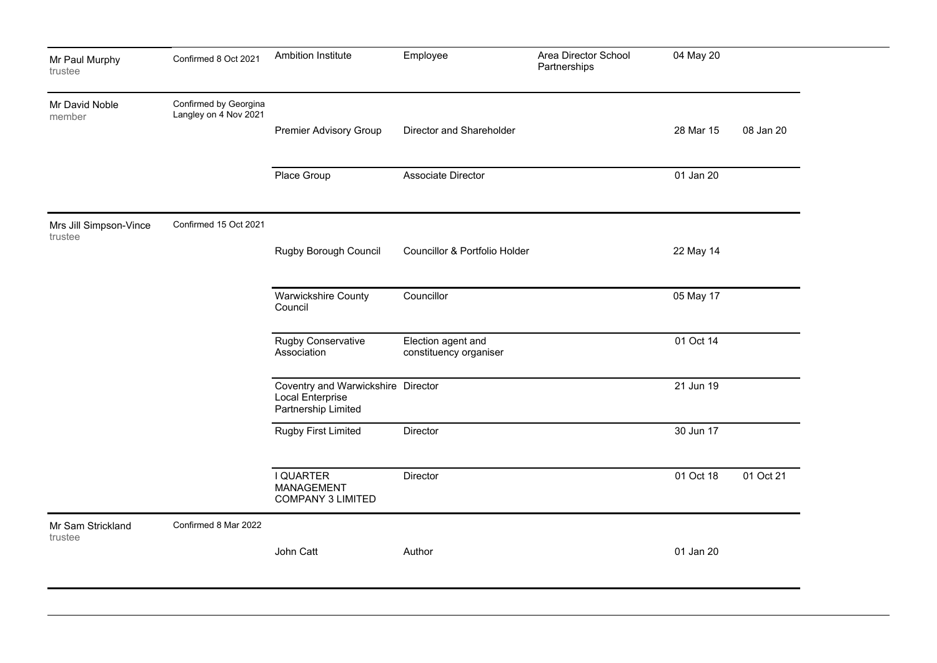| Mr Paul Murphy<br>trustee         | Confirmed 8 Oct 2021                           | Ambition Institute                                                            | Employee                                     | Area Director School<br>Partnerships | 04 May 20 |           |
|-----------------------------------|------------------------------------------------|-------------------------------------------------------------------------------|----------------------------------------------|--------------------------------------|-----------|-----------|
| Mr David Noble<br>member          | Confirmed by Georgina<br>Langley on 4 Nov 2021 |                                                                               |                                              |                                      |           |           |
|                                   |                                                | <b>Premier Advisory Group</b>                                                 | Director and Shareholder                     |                                      | 28 Mar 15 | 08 Jan 20 |
|                                   |                                                | Place Group                                                                   | Associate Director                           |                                      | 01 Jan 20 |           |
| Mrs Jill Simpson-Vince<br>trustee | Confirmed 15 Oct 2021                          |                                                                               |                                              |                                      |           |           |
|                                   |                                                | Rugby Borough Council                                                         | Councillor & Portfolio Holder                |                                      | 22 May 14 |           |
|                                   |                                                | Warwickshire County<br>Council                                                | Councillor                                   |                                      | 05 May 17 |           |
|                                   |                                                | <b>Rugby Conservative</b><br>Association                                      | Election agent and<br>constituency organiser |                                      | 01 Oct 14 |           |
|                                   |                                                | Coventry and Warwickshire Director<br>Local Enterprise<br>Partnership Limited |                                              |                                      | 21 Jun 19 |           |
|                                   |                                                | <b>Rugby First Limited</b>                                                    | <b>Director</b>                              |                                      | 30 Jun 17 |           |
|                                   |                                                | I QUARTER<br><b>MANAGEMENT</b><br><b>COMPANY 3 LIMITED</b>                    | Director                                     |                                      | 01 Oct 18 | 01 Oct 21 |
| Mr Sam Strickland<br>trustee      | Confirmed 8 Mar 2022                           |                                                                               |                                              |                                      |           |           |
|                                   |                                                | John Catt                                                                     | Author                                       |                                      | 01 Jan 20 |           |